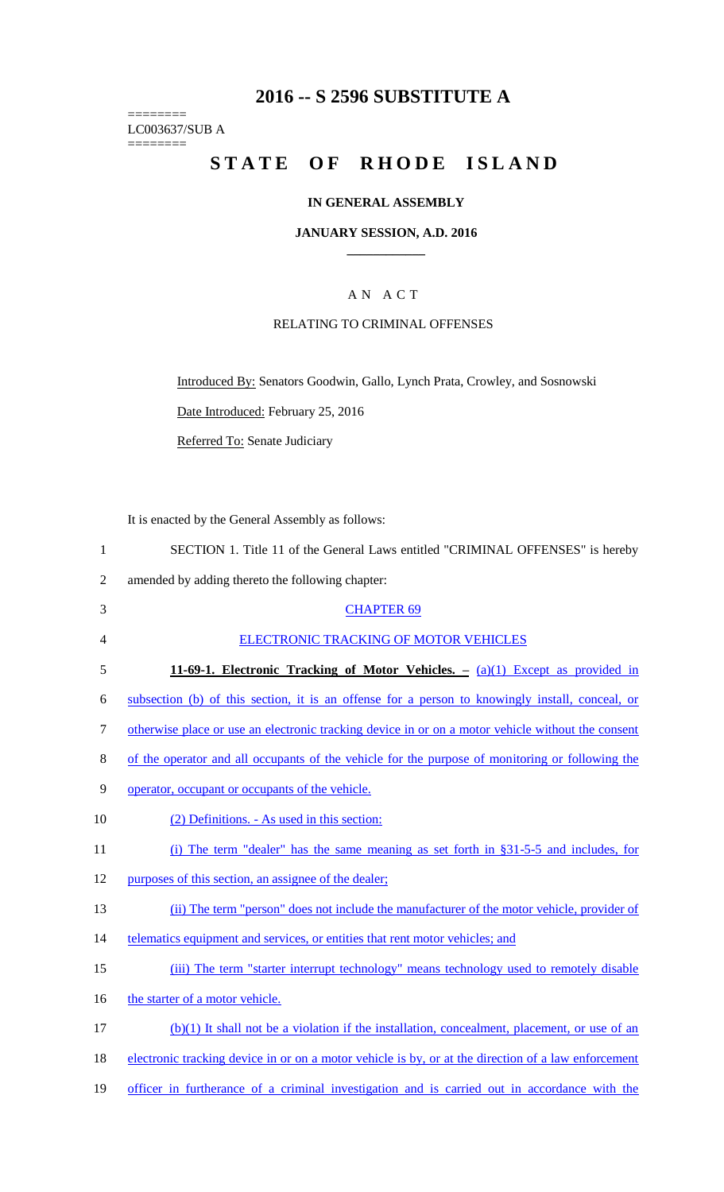## **2016 -- S 2596 SUBSTITUTE A**

======== LC003637/SUB A ========

# STATE OF RHODE ISLAND

## **IN GENERAL ASSEMBLY**

#### **JANUARY SESSION, A.D. 2016 \_\_\_\_\_\_\_\_\_\_\_\_**

## A N A C T

### RELATING TO CRIMINAL OFFENSES

Introduced By: Senators Goodwin, Gallo, Lynch Prata, Crowley, and Sosnowski

Date Introduced: February 25, 2016

Referred To: Senate Judiciary

It is enacted by the General Assembly as follows:

| SECTION 1. Title 11 of the General Laws entitled "CRIMINAL OFFENSES" is hereby |
|--------------------------------------------------------------------------------|
| amended by adding thereto the following chapter:                               |

| $\frac{1}{2}$ |  |  |  |  |
|---------------|--|--|--|--|
|               |  |  |  |  |
|               |  |  |  |  |

| 3  | <b>CHAPTER 69</b>                                                                                   |
|----|-----------------------------------------------------------------------------------------------------|
| 4  | ELECTRONIC TRACKING OF MOTOR VEHICLES                                                               |
| 5  | 11-69-1. Electronic Tracking of Motor Vehicles. $-$ (a)(1) Except as provided in                    |
| 6  | subsection (b) of this section, it is an offense for a person to knowingly install, conceal, or     |
| 7  | otherwise place or use an electronic tracking device in or on a motor vehicle without the consent   |
| 8  | of the operator and all occupants of the vehicle for the purpose of monitoring or following the     |
| 9  | operator, occupant or occupants of the vehicle.                                                     |
| 10 | (2) Definitions. - As used in this section:                                                         |
| 11 | (i) The term "dealer" has the same meaning as set forth in §31-5-5 and includes, for                |
| 12 | purposes of this section, an assignee of the dealer;                                                |
| 13 | (ii) The term "person" does not include the manufacturer of the motor vehicle, provider of          |
| 14 | telematics equipment and services, or entities that rent motor vehicles; and                        |
| 15 | (iii) The term "starter interrupt technology" means technology used to remotely disable             |
| 16 | the starter of a motor vehicle.                                                                     |
| 17 | (b)(1) It shall not be a violation if the installation, concealment, placement, or use of an        |
| 18 | electronic tracking device in or on a motor vehicle is by, or at the direction of a law enforcement |
| 19 | officer in furtherance of a criminal investigation and is carried out in accordance with the        |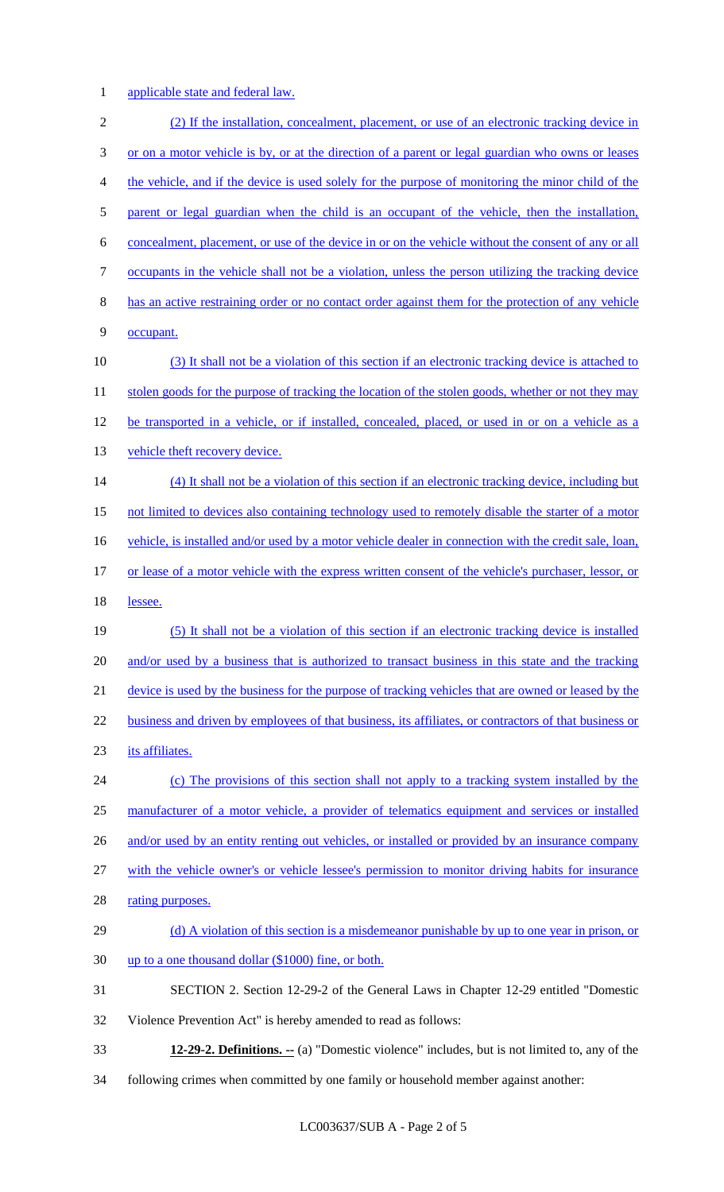applicable state and federal law.

 (2) If the installation, concealment, placement, or use of an electronic tracking device in or on a motor vehicle is by, or at the direction of a parent or legal guardian who owns or leases the vehicle, and if the device is used solely for the purpose of monitoring the minor child of the 5 parent or legal guardian when the child is an occupant of the vehicle, then the installation, concealment, placement, or use of the device in or on the vehicle without the consent of any or all occupants in the vehicle shall not be a violation, unless the person utilizing the tracking device has an active restraining order or no contact order against them for the protection of any vehicle occupant. 10 (3) It shall not be a violation of this section if an electronic tracking device is attached to 11 stolen goods for the purpose of tracking the location of the stolen goods, whether or not they may 12 be transported in a vehicle, or if installed, concealed, placed, or used in or on a vehicle as a 13 vehicle theft recovery device. (4) It shall not be a violation of this section if an electronic tracking device, including but not limited to devices also containing technology used to remotely disable the starter of a motor 16 vehicle, is installed and/or used by a motor vehicle dealer in connection with the credit sale, loan, or lease of a motor vehicle with the express written consent of the vehicle's purchaser, lessor, or 18 lessee. (5) It shall not be a violation of this section if an electronic tracking device is installed 20 and/or used by a business that is authorized to transact business in this state and the tracking device is used by the business for the purpose of tracking vehicles that are owned or leased by the 22 business and driven by employees of that business, its affiliates, or contractors of that business or its affiliates. (c) The provisions of this section shall not apply to a tracking system installed by the manufacturer of a motor vehicle, a provider of telematics equipment and services or installed 26 and/or used by an entity renting out vehicles, or installed or provided by an insurance company with the vehicle owner's or vehicle lessee's permission to monitor driving habits for insurance 28 rating purposes. 29 (d) A violation of this section is a misdemeanor punishable by up to one year in prison, or up to a one thousand dollar (\$1000) fine, or both. SECTION 2. Section 12-29-2 of the General Laws in Chapter 12-29 entitled "Domestic Violence Prevention Act" is hereby amended to read as follows: **12-29-2. Definitions. --** (a) "Domestic violence" includes, but is not limited to, any of the

following crimes when committed by one family or household member against another: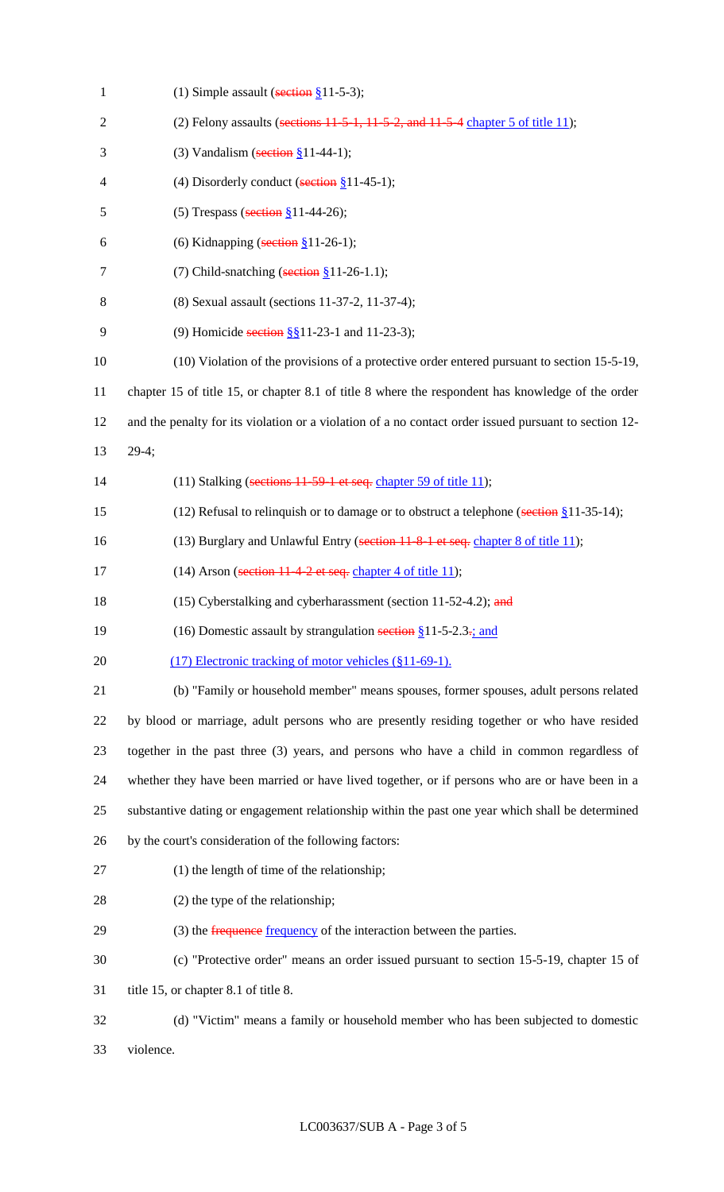| $\mathbf{1}$   | (1) Simple assault (section $§11-5-3$ );                                                              |
|----------------|-------------------------------------------------------------------------------------------------------|
| $\overline{2}$ | (2) Felony assaults (sections $11-5-1$ , $11-5-2$ , and $11-5-4$ chapter 5 of title 11);              |
| 3              | (3) Vandalism (section $§11-44-1$ );                                                                  |
| $\overline{4}$ | (4) Disorderly conduct (section $§11-45-1$ );                                                         |
| 5              | (5) Trespass (section $§11-44-26$ );                                                                  |
| 6              | (6) Kidnapping (section $§$ 11-26-1);                                                                 |
| 7              | (7) Child-snatching (section $§11-26-1.1$ );                                                          |
| 8              | (8) Sexual assault (sections 11-37-2, 11-37-4);                                                       |
| 9              | (9) Homicide section §§11-23-1 and 11-23-3);                                                          |
| 10             | (10) Violation of the provisions of a protective order entered pursuant to section 15-5-19,           |
| 11             | chapter 15 of title 15, or chapter 8.1 of title 8 where the respondent has knowledge of the order     |
| 12             | and the penalty for its violation or a violation of a no contact order issued pursuant to section 12- |
| 13             | $29-4;$                                                                                               |
| 14             | (11) Stalking (sections 11-59-1 et seq. chapter 59 of title 11);                                      |
| 15             | (12) Refusal to relinquish or to damage or to obstruct a telephone (section $\S$ 11-35-14);           |
| 16             | (13) Burglary and Unlawful Entry (section 11-8-1 et seq. chapter 8 of title 11);                      |
| 17             | (14) Arson (section $11-4-2$ et seq. chapter 4 of title 11);                                          |
| 18             | (15) Cyberstalking and cyberharassment (section $11-52-4.2$ ); and                                    |
| 19             | (16) Domestic assault by strangulation section $$11-5-2.3$ ; and                                      |
| 20             | (17) Electronic tracking of motor vehicles (§11-69-1).                                                |
| 21             | (b) "Family or household member" means spouses, former spouses, adult persons related                 |
| 22             | by blood or marriage, adult persons who are presently residing together or who have resided           |
| 23             | together in the past three (3) years, and persons who have a child in common regardless of            |
| 24             | whether they have been married or have lived together, or if persons who are or have been in a        |
| 25             | substantive dating or engagement relationship within the past one year which shall be determined      |
| 26             | by the court's consideration of the following factors:                                                |
| 27             | $(1)$ the length of time of the relationship;                                                         |
| 28             | (2) the type of the relationship;                                                                     |
| 29             | (3) the frequence frequency of the interaction between the parties.                                   |
| 30             | (c) "Protective order" means an order issued pursuant to section 15-5-19, chapter 15 of               |
| 31             | title 15, or chapter 8.1 of title 8.                                                                  |
| 32             | (d) "Victim" means a family or household member who has been subjected to domestic                    |
| 33             | violence.                                                                                             |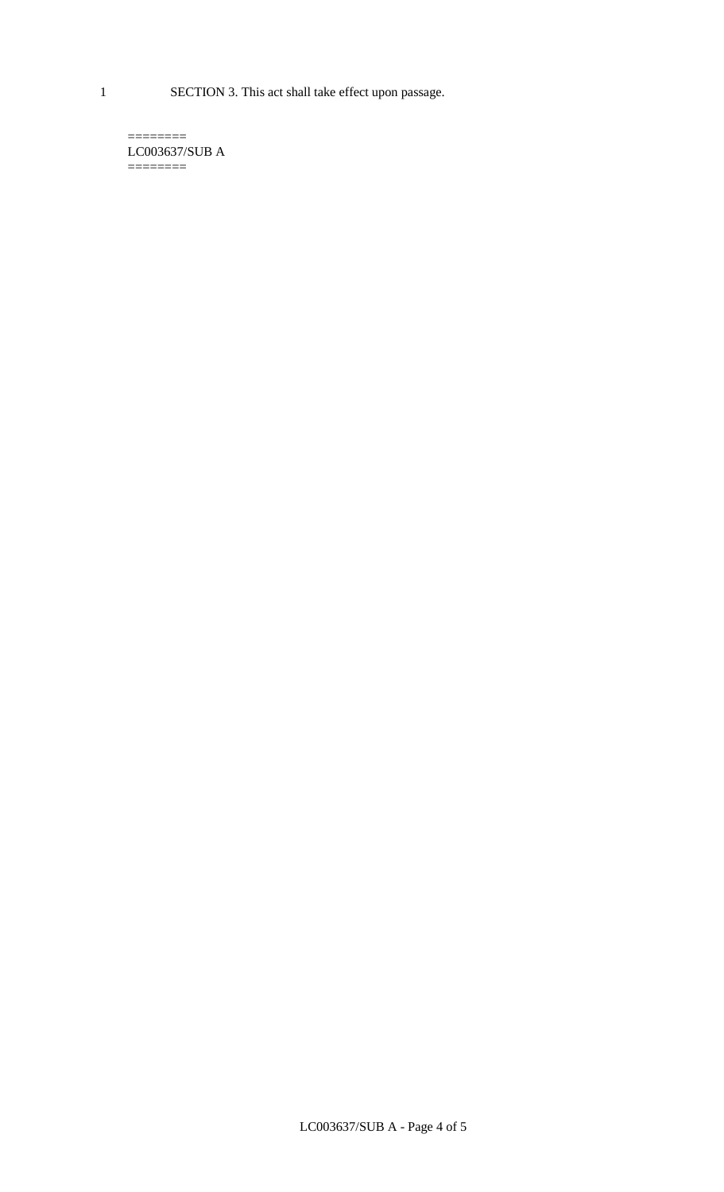1 SECTION 3. This act shall take effect upon passage.

 $=$ LC003637/SUB A  $=$